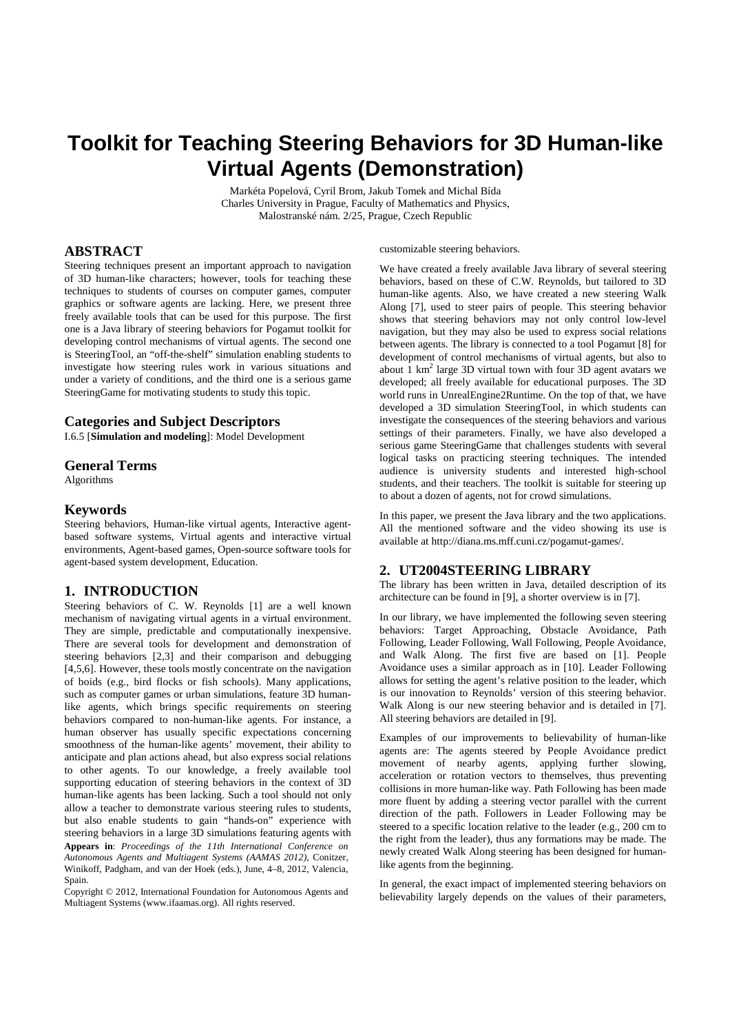# **Toolkit for Teaching Steering Behaviors for 3D Human-like Virtual Agents (Demonstration)**

Markéta Popelová, Cyril Brom, Jakub Tomek and Michal Bída Charles University in Prague, Faculty of Mathematics and Physics, Malostranské nám. 2/25, Prague, Czech Republic

## **ABSTRACT**

Steering techniques present an important approach to navigation of 3D human-like characters; however, tools for teaching these techniques to students of courses on computer games, computer graphics or software agents are lacking. Here, we present three freely available tools that can be used for this purpose. The first one is a Java library of steering behaviors for Pogamut toolkit for developing control mechanisms of virtual agents. The second one is SteeringTool, an "off-the-shelf" simulation enabling students to investigate how steering rules work in various situations and under a variety of conditions, and the third one is a serious game SteeringGame for motivating students to study this topic.

### **Categories and Subject Descriptors**

I.6.5 [**Simulation and modeling**]: Model Development

#### **General Terms**

Algorithms

#### **Keywords**

Steering behaviors, Human-like virtual agents, Interactive agentbased software systems, Virtual agents and interactive virtual environments, Agent-based games, Open-source software tools for agent-based system development, Education.

#### **1. INTRODUCTION**

Steering behaviors of C. W. Reynolds [1] are a well known mechanism of navigating virtual agents in a virtual environment. They are simple, predictable and computationally inexpensive. There are several tools for development and demonstration of steering behaviors [2,3] and their comparison and debugging [4,5,6]. However, these tools mostly concentrate on the navigation of boids (e.g., bird flocks or fish schools). Many applications, such as computer games or urban simulations, feature 3D humanlike agents, which brings specific requirements on steering behaviors compared to non-human-like agents. For instance, a human observer has usually specific expectations concerning smoothness of the human-like agents' movement, their ability to anticipate and plan actions ahead, but also express social relations to other agents. To our knowledge, a freely available tool supporting education of steering behaviors in the context of 3D human-like agents has been lacking. Such a tool should not only allow a teacher to demonstrate various steering rules to students, but also enable students to gain "hands-on" experience with steering behaviors in a large 3D simulations featuring agents with **Appears in**: *Proceedings of the 11th International Conference on Autonomous Agents and Multiagent Systems (AAMAS 2012)*, Conitzer, Winikoff, Padgham, and van der Hoek (eds.), June, 4–8, 2012, Valencia, Spain.

Copyright © 2012, International Foundation for Autonomous Agents and Multiagent Systems (www.ifaamas.org). All rights reserved.

customizable steering behaviors.

We have created a freely available Java library of several steering behaviors, based on these of C.W. Reynolds, but tailored to 3D human-like agents. Also, we have created a new steering Walk Along [7], used to steer pairs of people. This steering behavior shows that steering behaviors may not only control low-level navigation, but they may also be used to express social relations between agents. The library is connected to a tool Pogamut [8] for development of control mechanisms of virtual agents, but also to about  $1 \text{ km}^2$  large 3D virtual town with four 3D agent avatars we developed; all freely available for educational purposes. The 3D world runs in UnrealEngine2Runtime. On the top of that, we have developed a 3D simulation SteeringTool, in which students can investigate the consequences of the steering behaviors and various settings of their parameters. Finally, we have also developed a serious game SteeringGame that challenges students with several logical tasks on practicing steering techniques. The intended audience is university students and interested high-school students, and their teachers. The toolkit is suitable for steering up to about a dozen of agents, not for crowd simulations.

In this paper, we present the Java library and the two applications. All the mentioned software and the video showing its use is available at http://diana.ms.mff.cuni.cz/pogamut-games/.

## **2. UT2004STEERING LIBRARY**

The library has been written in Java, detailed description of its architecture can be found in [9], a shorter overview is in [7].

In our library, we have implemented the following seven steering behaviors: Target Approaching, Obstacle Avoidance, Path Following, Leader Following, Wall Following, People Avoidance, and Walk Along. The first five are based on [1]. People Avoidance uses a similar approach as in [10]. Leader Following allows for setting the agent's relative position to the leader, which is our innovation to Reynolds' version of this steering behavior. Walk Along is our new steering behavior and is detailed in [7]. All steering behaviors are detailed in [9].

Examples of our improvements to believability of human-like agents are: The agents steered by People Avoidance predict movement of nearby agents, applying further slowing, acceleration or rotation vectors to themselves, thus preventing collisions in more human-like way. Path Following has been made more fluent by adding a steering vector parallel with the current direction of the path. Followers in Leader Following may be steered to a specific location relative to the leader (e.g., 200 cm to the right from the leader), thus any formations may be made. The newly created Walk Along steering has been designed for humanlike agents from the beginning.

In general, the exact impact of implemented steering behaviors on believability largely depends on the values of their parameters,